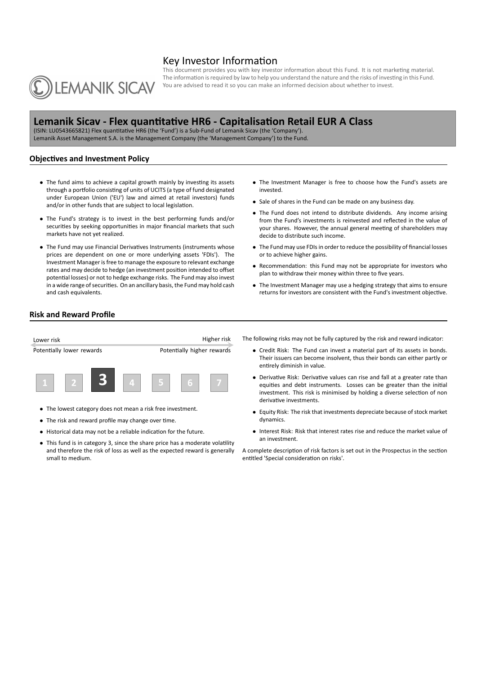# Key Investor Information



This document provides you with key investor information about this Fund. It is not marketing material. The information is required by law to help you understand the nature and the risks of investing in this Fund. You are advised to read it so you can make an informed decision about whether to invest.

# **Lemanik Sicav - Flex quanƟtaƟve HR6 - CapitalisaƟon Retail EUR A Class**

(ISIN: LU0543665821) Flex quantitative HR6 (the 'Fund') is a Sub-Fund of Lemanik Sicav (the 'Company'). Lemanik Asset Management S.A. is the Management Company (the 'Management Company') to the Fund.

## **Objectives and Investment Policy**

- The fund aims to achieve a capital growth mainly by investing its assets through a portfolio consisting of units of UCITS (a type of fund designated under European Union ('EU') law and aimed at retail investors) funds and/or in other funds that are subject to local legislation.
- *•* The Fund's strategy is to invest in the best performing funds and/or securities by seeking opportunities in major financial markets that such markets have not yet realized.
- The Fund may use Financial Derivatives Instruments (instruments whose prices are dependent on one or more underlying assets 'FDIs'). The Investment Manager is free to manage the exposure to relevant exchange rates and may decide to hedge (an investment position intended to offset potential losses) or not to hedge exchange risks. The Fund may also invest in a wide range of securities. On an ancillary basis, the Fund may hold cash and cash equivalents.
- *•* The Investment Manager is free to choose how the Fund's assets are invested.
- *•* Sale of shares in the Fund can be made on any business day.
- *•* The Fund does not intend to distribute dividends. Any income arising from the Fund's investments is reinvested and reflected in the value of your shares. However, the annual general meeting of shareholders may decide to distribute such income.
- *•* The Fund may use FDIs in order to reduce the possibility of financial losses or to achieve higher gains.
- Recommendation: this Fund may not be appropriate for investors who plan to withdraw their money within three to five years.
- *•* The Investment Manager may use a hedging strategy that aims to ensure returns for investors are consistent with the Fund's investment objective.

### **Risk and Reward Profile**



- *•* The lowest category does not mean a risk free investment.
- The risk and reward profile may change over time.
- Historical data may not be a reliable indication for the future.
- This fund is in category 3, since the share price has a moderate volatility and therefore the risk of loss as well as the expected reward is generally small to medium.
- The following risks may not be fully captured by the risk and reward indicator:
	- *•* Credit Risk: The Fund can invest a material part of its assets in bonds. Their issuers can become insolvent, thus their bonds can either partly or entirely diminish in value.
	- Derivative Risk: Derivative values can rise and fall at a greater rate than equities and debt instruments. Losses can be greater than the initial investment. This risk is minimised by holding a diverse selection of non derivative investments.
	- *•* Equity Risk: The risk that investments depreciate because of stock market dynamics.
	- *•* Interest Risk: Risk that interest rates rise and reduce the market value of an investment.

A complete description of risk factors is set out in the Prospectus in the section entitled 'Special consideration on risks'.